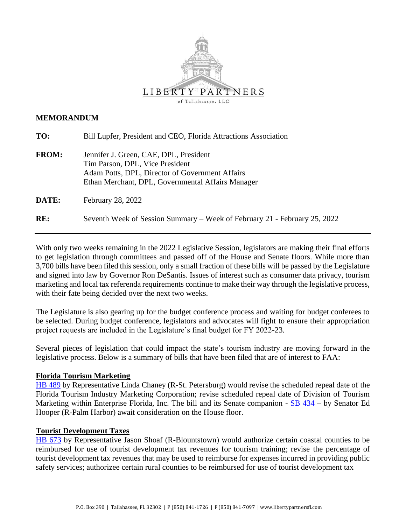

### **MEMORANDUM**

| TO:          | Bill Lupfer, President and CEO, Florida Attractions Association                                                                                                                   |
|--------------|-----------------------------------------------------------------------------------------------------------------------------------------------------------------------------------|
| <b>FROM:</b> | Jennifer J. Green, CAE, DPL, President<br>Tim Parson, DPL, Vice President<br>Adam Potts, DPL, Director of Government Affairs<br>Ethan Merchant, DPL, Governmental Affairs Manager |
| DATE:        | February 28, 2022                                                                                                                                                                 |
| RE:          | Seventh Week of Session Summary – Week of February 21 - February 25, 2022                                                                                                         |

With only two weeks remaining in the 2022 Legislative Session, legislators are making their final efforts to get legislation through committees and passed off of the House and Senate floors. While more than 3,700 bills have been filed this session, only a small fraction of these bills will be passed by the Legislature and signed into law by Governor Ron DeSantis. Issues of interest such as consumer data privacy, tourism marketing and local tax referenda requirements continue to make their way through the legislative process, with their fate being decided over the next two weeks.

The Legislature is also gearing up for the budget conference process and waiting for budget conferees to be selected. During budget conference, legislators and advocates will fight to ensure their appropriation project requests are included in the Legislature's final budget for FY 2022-23.

Several pieces of legislation that could impact the state's tourism industry are moving forward in the legislative process. Below is a summary of bills that have been filed that are of interest to FAA:

## **Florida Tourism Marketing**

[HB 489](https://www.myfloridahouse.gov/Sections/Bills/billsdetail.aspx?BillId=73966&SessionId=93) by Representative Linda Chaney (R-St. Petersburg) would revise the scheduled repeal date of the Florida Tourism Industry Marketing Corporation; revise scheduled repeal date of Division of Tourism Marketing within Enterprise Florida, Inc. The bill and its Senate companion - [SB 434](https://www.flsenate.gov/Session/Bill/2022/434) – by Senator Ed Hooper (R-Palm Harbor) await consideration on the House floor.

#### **Tourist Development Taxes**

[HB 673](https://www.myfloridahouse.gov/Sections/Bills/billsdetail.aspx?BillId=74794&SessionId=93) by Representative Jason Shoaf (R-Blountstown) would authorize certain coastal counties to be reimbursed for use of tourist development tax revenues for tourism training; revise the percentage of tourist development tax revenues that may be used to reimburse for expenses incurred in providing public safety services; authorizee certain rural counties to be reimbursed for use of tourist development tax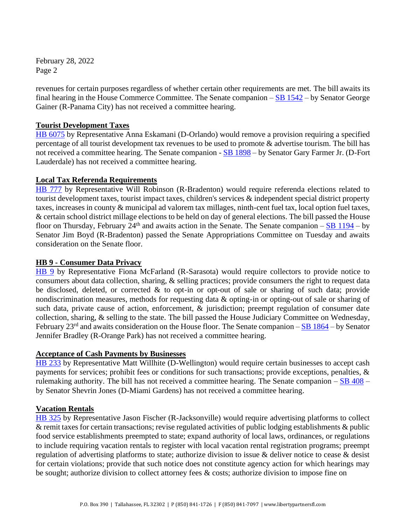February 28, 2022 Page 2

revenues for certain purposes regardless of whether certain other requirements are met. The bill awaits its final hearing in the House Commerce Committee. The Senate companion – [SB 1542](https://www.flsenate.gov/Session/Bill/2022/1542) – by Senator George Gainer (R-Panama City) has not received a committee hearing.

## **Tourist Development Taxes**

[HB 6075](https://www.myfloridahouse.gov/Sections/Bills/billsdetail.aspx?BillId=73902&SessionId=93) by Representative Anna Eskamani (D-Orlando) would remove a provision requiring a specified percentage of all tourist development tax revenues to be used to promote & advertise tourism. The bill has not received a committee hearing. The Senate companion - [SB 1898](https://www.flsenate.gov/Session/Bill/2022/1898) – by Senator Gary Farmer Jr. (D-Fort Lauderdale) has not received a committee hearing.

# **Local Tax Referenda Requirements**

[HB 777](https://www.myfloridahouse.gov/Sections/Bills/billsdetail.aspx?BillId=75205&SessionId=93) by Representative Will Robinson (R-Bradenton) would require referenda elections related to tourist development taxes, tourist impact taxes, children's services & independent special district property taxes, increases in county & municipal ad valorem tax millages, ninth-cent fuel tax, local option fuel taxes, & certain school district millage elections to be held on day of general elections. The bill passed the House floor on Thursday, February  $24<sup>th</sup>$  and awaits action in the Senate. The Senate companion –  $\underline{SB}$  1194 – by Senator Jim Boyd (R-Bradenton) passed the Senate Appropriations Committee on Tuesday and awaits consideration on the Senate floor.

## **HB 9 - Consumer Data Privacy**

[HB 9](https://www.myfloridahouse.gov/Sections/Bills/billsdetail.aspx?BillId=76556&SessionId=93) by Representative Fiona McFarland (R-Sarasota) would require collectors to provide notice to consumers about data collection, sharing, & selling practices; provide consumers the right to request data be disclosed, deleted, or corrected & to opt-in or opt-out of sale or sharing of such data; provide nondiscrimination measures, methods for requesting data & opting-in or opting-out of sale or sharing of such data, private cause of action, enforcement, & jurisdiction; preempt regulation of consumer date collection, sharing, & selling to the state. The bill passed the House Judiciary Committee on Wednesday, February  $23<sup>rd</sup>$  and awaits consideration on the House floor. The Senate companion – [SB 1864](https://www.flsenate.gov/Session/Bill/2022/1864) – by Senator Jennifer Bradley (R-Orange Park) has not received a committee hearing.

## **Acceptance of Cash Payments by Businesses**

[HB 233](https://www.myfloridahouse.gov/Sections/Bills/billsdetail.aspx?BillId=73352&SessionId=93) by Representative Matt Willhite (D-Wellington) would require certain businesses to accept cash payments for services; prohibit fees or conditions for such transactions; provide exceptions, penalties, & rulemaking authority. The bill has not received a committee hearing. The Senate companion  $-\underline{SB}$  408 – by Senator Shevrin Jones (D-Miami Gardens) has not received a committee hearing.

## **Vacation Rentals**

[HB 325](https://www.myfloridahouse.gov/Sections/Bills/billsdetail.aspx?BillId=73530&SessionId=93) by Representative Jason Fischer (R-Jacksonville) would require advertising platforms to collect & remit taxes for certain transactions; revise regulated activities of public lodging establishments & public food service establishments preempted to state; expand authority of local laws, ordinances, or regulations to include requiring vacation rentals to register with local vacation rental registration programs; preempt regulation of advertising platforms to state; authorize division to issue & deliver notice to cease & desist for certain violations; provide that such notice does not constitute agency action for which hearings may be sought; authorize division to collect attorney fees & costs; authorize division to impose fine on